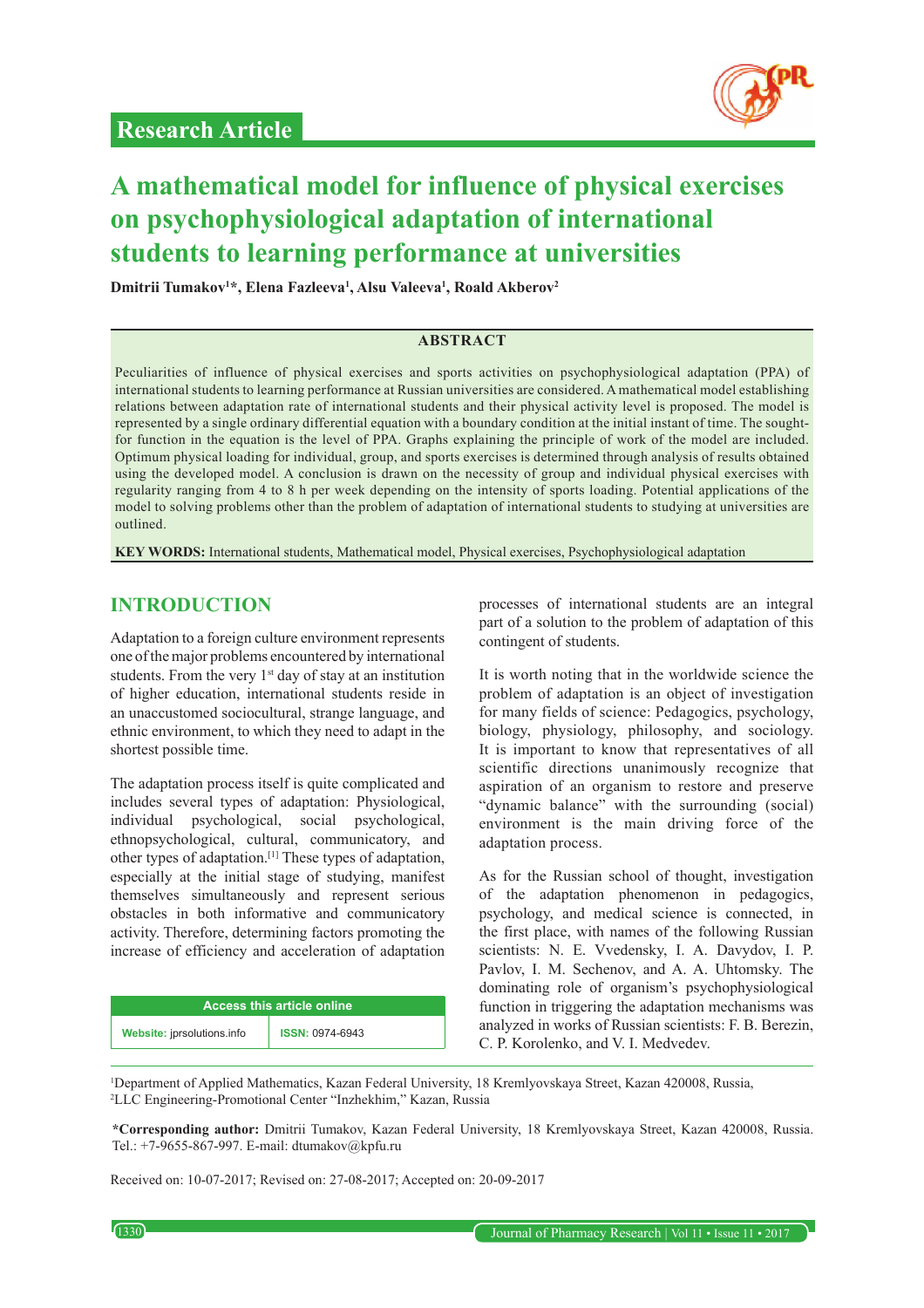

# **A mathematical model for influence of physical exercises on psychophysiological adaptation of international students to learning performance at universities**

**Dmitrii Tumakov1 \*, Elena Fazleeva1 , Alsu Valeeva1 , Roald Akberov2**

#### **ABSTRACT**

Peculiarities of influence of physical exercises and sports activities on psychophysiological adaptation (PPA) of international students to learning performance at Russian universities are considered. A mathematical model establishing relations between adaptation rate of international students and their physical activity level is proposed. The model is represented by a single ordinary differential equation with a boundary condition at the initial instant of time. The soughtfor function in the equation is the level of PPA. Graphs explaining the principle of work of the model are included. Optimum physical loading for individual, group, and sports exercises is determined through analysis of results obtained using the developed model. A conclusion is drawn on the necessity of group and individual physical exercises with regularity ranging from 4 to 8 h per week depending on the intensity of sports loading. Potential applications of the model to solving problems other than the problem of adaptation of international students to studying at universities are outlined.

**KEY WORDS:** International students, Mathematical model, Physical exercises, Psychophysiological adaptation

## **INTRODUCTION**

Adaptation to a foreign culture environment represents one of the major problems encountered by international students. From the very  $1<sup>st</sup>$  day of stay at an institution of higher education, international students reside in an unaccustomed sociocultural, strange language, and ethnic environment, to which they need to adapt in the shortest possible time.

The adaptation process itself is quite complicated and includes several types of adaptation: Physiological, individual psychological, social psychological, ethnopsychological, cultural, communicatory, and other types of adaptation.[1] These types of adaptation, especially at the initial stage of studying, manifest themselves simultaneously and represent serious obstacles in both informative and communicatory activity. Therefore, determining factors promoting the increase of efficiency and acceleration of adaptation

| <b>Access this article online</b> |                        |
|-----------------------------------|------------------------|
| Website: jprsolutions.info        | <b>ISSN: 0974-6943</b> |

processes of international students are an integral part of a solution to the problem of adaptation of this contingent of students.

It is worth noting that in the worldwide science the problem of adaptation is an object of investigation for many fields of science: Pedagogics, psychology, biology, physiology, philosophy, and sociology. It is important to know that representatives of all scientific directions unanimously recognize that aspiration of an organism to restore and preserve "dynamic balance" with the surrounding (social) environment is the main driving force of the adaptation process.

As for the Russian school of thought, investigation of the adaptation phenomenon in pedagogics, psychology, and medical science is connected, in the first place, with names of the following Russian scientists: N. E. Vvedensky, I. A. Davydov, I. P. Pavlov, I. M. Sechenov, and A. A. Uhtomsky. The dominating role of organism's psychophysiological function in triggering the adaptation mechanisms was analyzed in works of Russian scientists: F. B. Berezin, C. P. Korolenko, and V. I. Medvedev.

1 Department of Applied Mathematics, Kazan Federal University, 18 Kremlyovskaya Street, Kazan 420008, Russia, 2 LLC Engineering-Promotional Center "Inzhekhim," Kazan, Russia

**\*Corresponding author:** Dmitrii Tumakov, Kazan Federal University, 18 Kremlyovskaya Street, Kazan 420008, Russia. Tel.: +7-9655-867-997. E-mail: dtumakov@kpfu.ru

Received on: 10-07-2017; Revised on: 27-08-2017; Accepted on: 20-09-2017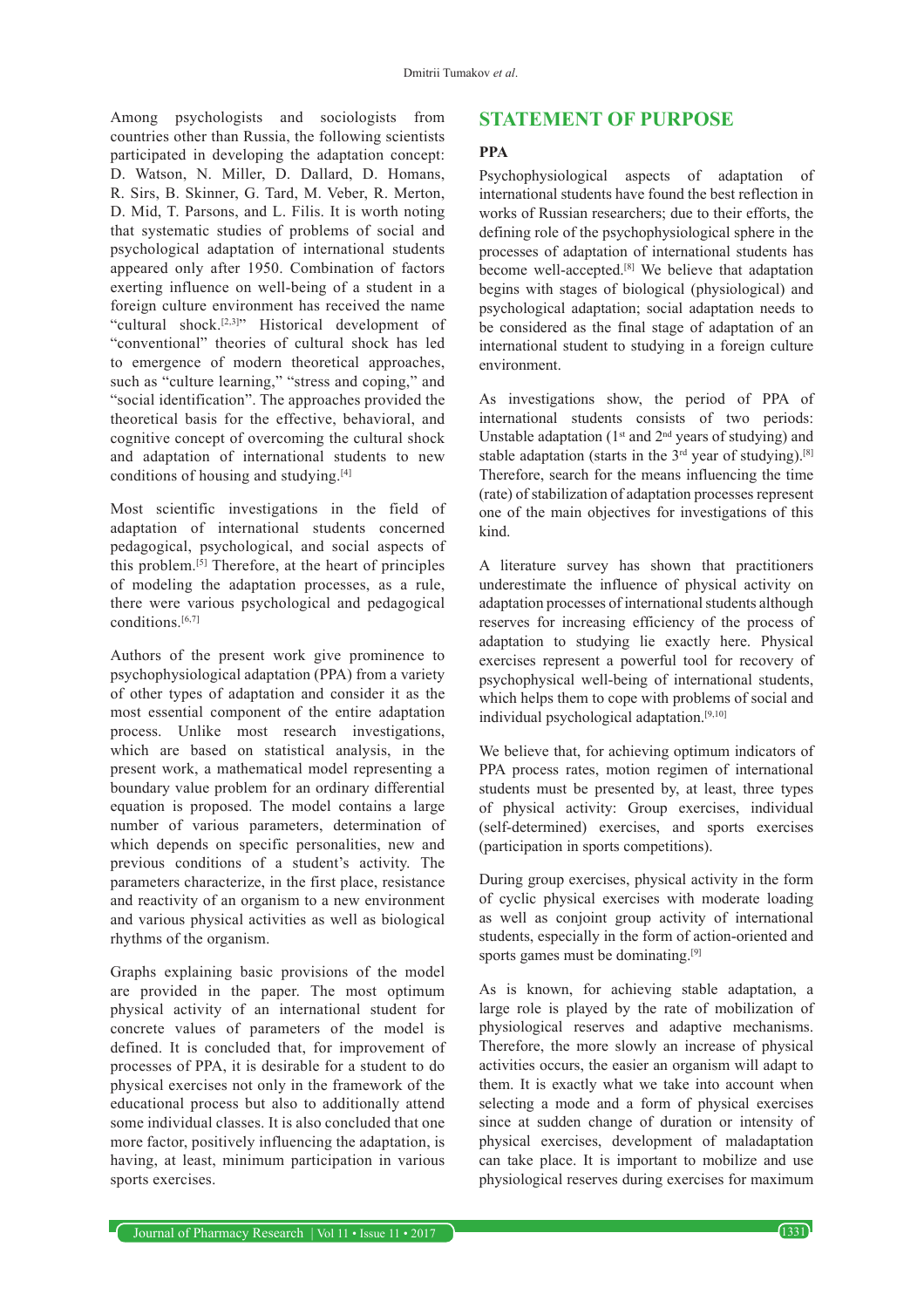Among psychologists and sociologists from countries other than Russia, the following scientists participated in developing the adaptation concept: D. Watson, N. Miller, D. Dallard, D. Homans, R. Sirs, B. Skinner, G. Tard, M. Veber, R. Merton, D. Mid, T. Parsons, and L. Filis. It is worth noting that systematic studies of problems of social and psychological adaptation of international students appeared only after 1950. Combination of factors exerting influence on well-being of a student in a foreign culture environment has received the name "cultural shock.[2,3]" Historical development of "conventional" theories of cultural shock has led to emergence of modern theoretical approaches, such as "culture learning," "stress and coping," and "social identification". The approaches provided the theoretical basis for the effective, behavioral, and cognitive concept of overcoming the cultural shock and adaptation of international students to new conditions of housing and studying.[4]

Most scientific investigations in the field of adaptation of international students concerned pedagogical, psychological, and social aspects of this problem.[5] Therefore, at the heart of principles of modeling the adaptation processes, as a rule, there were various psychological and pedagogical conditions. $[6,7]$ 

Authors of the present work give prominence to psychophysiological adaptation (PPA) from a variety of other types of adaptation and consider it as the most essential component of the entire adaptation process. Unlike most research investigations, which are based on statistical analysis, in the present work, a mathematical model representing a boundary value problem for an ordinary differential equation is proposed. The model contains a large number of various parameters, determination of which depends on specific personalities, new and previous conditions of a student's activity. The parameters characterize, in the first place, resistance and reactivity of an organism to a new environment and various physical activities as well as biological rhythms of the organism.

Graphs explaining basic provisions of the model are provided in the paper. The most optimum physical activity of an international student for concrete values of parameters of the model is defined. It is concluded that, for improvement of processes of PPA, it is desirable for a student to do physical exercises not only in the framework of the educational process but also to additionally attend some individual classes. It is also concluded that one more factor, positively influencing the adaptation, is having, at least, minimum participation in various sports exercises.

## **STATEMENT OF PURPOSE**

#### **PPA**

Psychophysiological aspects of adaptation of international students have found the best reflection in works of Russian researchers; due to their efforts, the defining role of the psychophysiological sphere in the processes of adaptation of international students has become well-accepted.[8] We believe that adaptation begins with stages of biological (physiological) and psychological adaptation; social adaptation needs to be considered as the final stage of adaptation of an international student to studying in a foreign culture environment.

As investigations show, the period of PPA of international students consists of two periods: Unstable adaptation (1<sup>st</sup> and 2<sup>nd</sup> years of studying) and stable adaptation (starts in the  $3<sup>rd</sup>$  year of studying).<sup>[8]</sup> Therefore, search for the means influencing the time (rate) of stabilization of adaptation processes represent one of the main objectives for investigations of this kind.

A literature survey has shown that practitioners underestimate the influence of physical activity on adaptation processes of international students although reserves for increasing efficiency of the process of adaptation to studying lie exactly here. Physical exercises represent a powerful tool for recovery of psychophysical well-being of international students, which helps them to cope with problems of social and individual psychological adaptation.[9,10]

We believe that, for achieving optimum indicators of PPA process rates, motion regimen of international students must be presented by, at least, three types of physical activity: Group exercises, individual (self-determined) exercises, and sports exercises (participation in sports competitions).

During group exercises, physical activity in the form of cyclic physical exercises with moderate loading as well as conjoint group activity of international students, especially in the form of action-oriented and sports games must be dominating.<sup>[9]</sup>

As is known, for achieving stable adaptation, a large role is played by the rate of mobilization of physiological reserves and adaptive mechanisms. Therefore, the more slowly an increase of physical activities occurs, the easier an organism will adapt to them. It is exactly what we take into account when selecting a mode and a form of physical exercises since at sudden change of duration or intensity of physical exercises, development of maladaptation can take place. It is important to mobilize and use physiological reserves during exercises for maximum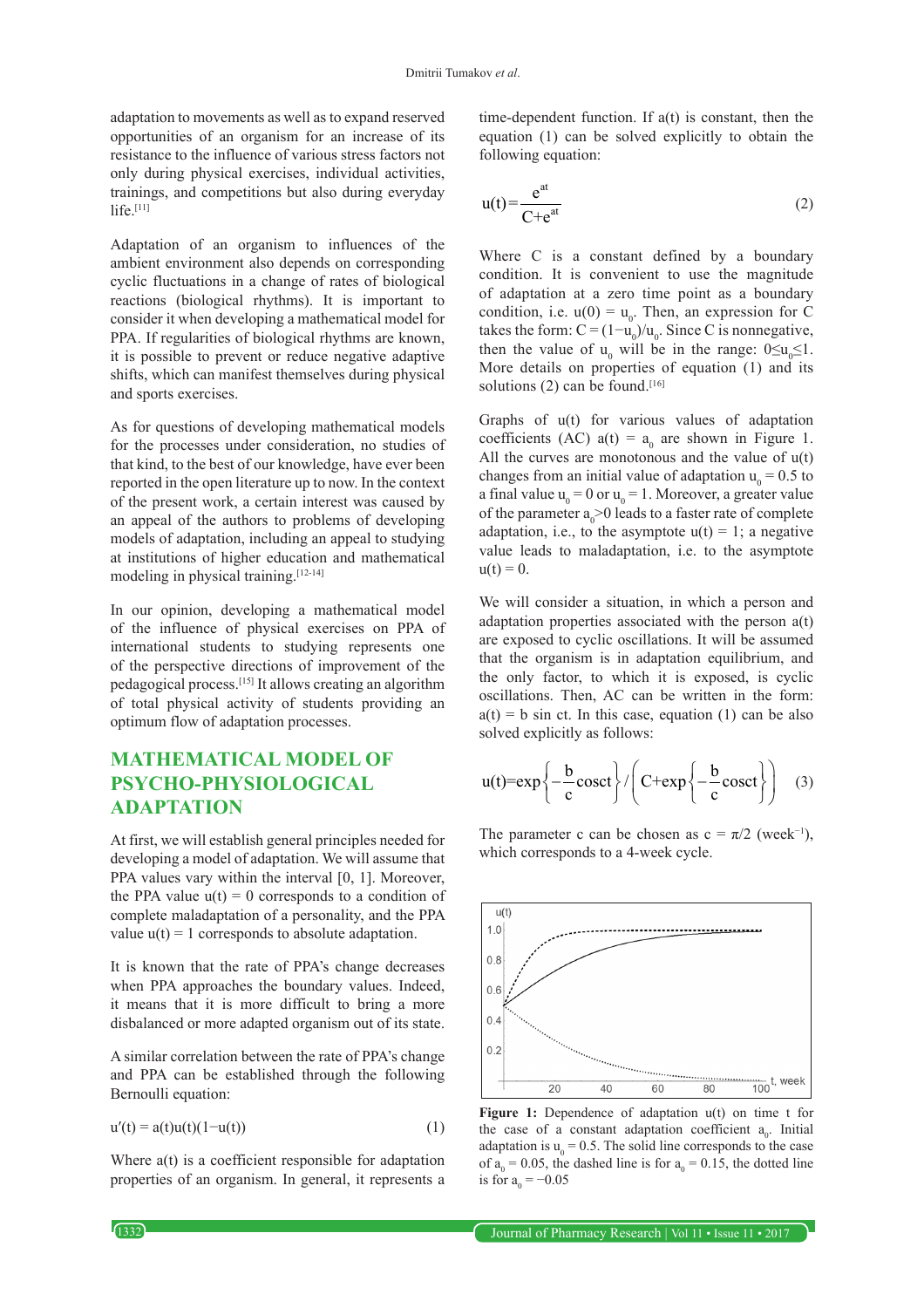adaptation to movements as well as to expand reserved opportunities of an organism for an increase of its resistance to the influence of various stress factors not only during physical exercises, individual activities, trainings, and competitions but also during everyday life $[11]$ 

Adaptation of an organism to influences of the ambient environment also depends on corresponding cyclic fluctuations in a change of rates of biological reactions (biological rhythms). It is important to consider it when developing a mathematical model for PPA. If regularities of biological rhythms are known, it is possible to prevent or reduce negative adaptive shifts, which can manifest themselves during physical and sports exercises.

As for questions of developing mathematical models for the processes under consideration, no studies of that kind, to the best of our knowledge, have ever been reported in the open literature up to now. In the context of the present work, a certain interest was caused by an appeal of the authors to problems of developing models of adaptation, including an appeal to studying at institutions of higher education and mathematical modeling in physical training.[12-14]

In our opinion, developing a mathematical model of the influence of physical exercises on PPA of international students to studying represents one of the perspective directions of improvement of the pedagogical process.[15] It allows creating an algorithm of total physical activity of students providing an optimum flow of adaptation processes.

# **MATHEMATICAL MODEL OF PSYCHO-PHYSIOLOGICAL ADAPTATION**

At first, we will establish general principles needed for developing a model of adaptation. We will assume that PPA values vary within the interval [0, 1]. Moreover, the PPA value  $u(t) = 0$  corresponds to a condition of complete maladaptation of a personality, and the PPA value  $u(t) = 1$  corresponds to absolute adaptation.

It is known that the rate of PPA's change decreases when PPA approaches the boundary values. Indeed, it means that it is more difficult to bring a more disbalanced or more adapted organism out of its state.

A similar correlation between the rate of PPA's change and PPA can be established through the following Bernoulli equation:

$$
u'(t) = a(t)u(t)(1 - u(t))
$$
 (1)

Where  $a(t)$  is a coefficient responsible for adaptation properties of an organism. In general, it represents a time-dependent function. If a(t) is constant, then the equation (1) can be solved explicitly to obtain the following equation:

$$
u(t) = \frac{e^{at}}{C + e^{at}} \tag{2}
$$

Where C is a constant defined by a boundary condition. It is convenient to use the magnitude of adaptation at a zero time point as a boundary condition, i.e.  $u(0) = u_0$ . Then, an expression for C takes the form:  $C = (1 - u_0)/u_0$ . Since C is nonnegative, then the value of  $u_0$  will be in the range:  $0 \le u_0 \le 1$ . More details on properties of equation (1) and its solutions (2) can be found.<sup>[16]</sup>

Graphs of u(t) for various values of adaptation coefficients (AC)  $a(t) = a_0$  are shown in Figure 1. All the curves are monotonous and the value of u(t) changes from an initial value of adaptation  $u_0 = 0.5$  to a final value  $u_0 = 0$  or  $u_0 = 1$ . Moreover, a greater value of the parameter  $a_0$  > 0 leads to a faster rate of complete adaptation, i.e., to the asymptote  $u(t) = 1$ ; a negative value leads to maladaptation, i.e. to the asymptote  $u(t) = 0.$ 

We will consider a situation, in which a person and adaptation properties associated with the person a(t) are exposed to cyclic oscillations. It will be assumed that the organism is in adaptation equilibrium, and the only factor, to which it is exposed, is cyclic oscillations. Then, AC can be written in the form:  $a(t) = b$  sin ct. In this case, equation (1) can be also solved explicitly as follows:

$$
u(t)=\exp\left\{-\frac{b}{c}\cos ct\right\}/\left(C+\exp\left\{-\frac{b}{c}\cos ct\right\}\right) \quad (3)
$$

The parameter c can be chosen as  $c = \pi/2$  (week<sup>-1</sup>), which corresponds to a 4-week cycle.



Figure 1: Dependence of adaptation  $u(t)$  on time t for the case of a constant adaptation coefficient  $a_0$ . Initial adaptation is  $u_0 = 0.5$ . The solid line corresponds to the case of  $a_0 = 0.05$ , the dashed line is for  $a_0 = 0.15$ , the dotted line is for  $a_0 = -0.05$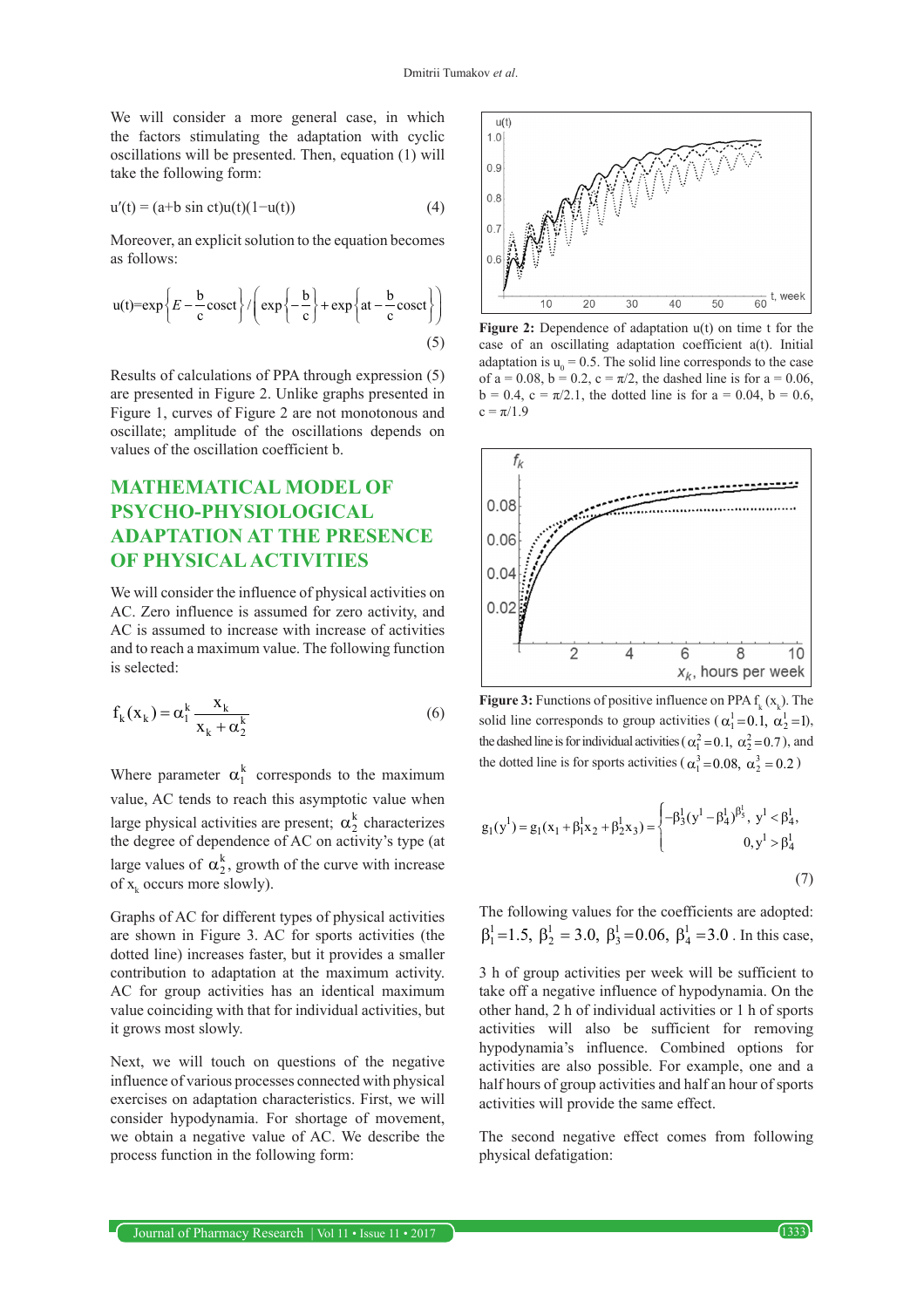We will consider a more general case, in which the factors stimulating the adaptation with cyclic oscillations will be presented. Then, equation (1) will take the following form:

$$
u'(t) = (a+b \sin ct)u(t)(1-u(t))
$$
 (4)

Moreover, an explicit solution to the equation becomes as follows:

$$
u(t)=\exp\left\{E-\frac{b}{c}\cos ct\right\}/\left(\exp\left\{-\frac{b}{c}\right\}+\exp\left\{at-\frac{b}{c}\cos ct\right\}\right)
$$
(5)

Results of calculations of PPA through expression (5) are presented in Figure 2. Unlike graphs presented in Figure 1, curves of Figure 2 are not monotonous and oscillate; amplitude of the oscillations depends on values of the oscillation coefficient b.

# **MATHEMATICAL MODEL OF PSYCHO-PHYSIOLOGICAL ADAPTATION AT THE PRESENCE OF PHYSICAL ACTIVITIES**

We will consider the influence of physical activities on AC. Zero influence is assumed for zero activity, and AC is assumed to increase with increase of activities and to reach a maximum value. The following function is selected:

$$
f_k(x_k) = \alpha_1^k \frac{x_k}{x_k + \alpha_2^k}
$$
 (6)

Where parameter  $\alpha_1^k$  corresponds to the maximum value, AC tends to reach this asymptotic value when large physical activities are present;  $\alpha_2^k$  characterizes the degree of dependence of AC on activity's type (at large values of  $\alpha_2^k$ , growth of the curve with increase of  $x_k$  occurs more slowly).

Graphs of AC for different types of physical activities are shown in Figure 3. AC for sports activities (the dotted line) increases faster, but it provides a smaller contribution to adaptation at the maximum activity. AC for group activities has an identical maximum value coinciding with that for individual activities, but it grows most slowly.

Next, we will touch on questions of the negative influence of various processes connected with physical exercises on adaptation characteristics. First, we will consider hypodynamia. For shortage of movement, we obtain a negative value of AC. We describe the process function in the following form:



**Figure 2:** Dependence of adaptation u(t) on time t for the case of an oscillating adaptation coefficient a(t). Initial adaptation is  $u_0 = 0.5$ . The solid line corresponds to the case of a = 0.08, b = 0.2, c =  $\pi/2$ , the dashed line is for a = 0.06,  $b = 0.4$ ,  $c = \pi/2.1$ , the dotted line is for  $a = 0.04$ ,  $b = 0.6$ ,  $c = \pi/1.9$ 



**Figure 3:** Functions of positive influence on PPA  $f_k(x_k)$ . The solid line corresponds to group activities ( $\alpha_1^1 = 0.1$ ,  $\alpha_2^1 = 1$ ), the dashed line is for individual activities ( $\alpha_1^2 = 0.1$ ,  $\alpha_2^2 = 0.7$ ), and the dotted line is for sports activities ( $\alpha_1^3 = 0.08$ ,  $\alpha_2^3 = 0.2$ )

$$
g_1(y^1) = g_1(x_1 + \beta_1^1 x_2 + \beta_2^1 x_3) = \begin{cases} -\beta_3^1 (y^1 - \beta_4^1)^{\beta_3^1}, & y^1 < \beta_4^1, \\ 0, & y^1 > \beta_4^1 \end{cases} \tag{7}
$$

The following values for the coefficients are adopted:  $\beta_1^1 = 1.5$ ,  $\beta_2^1 = 3.0$ ,  $\beta_3^1 = 0.06$ ,  $\beta_4^1 = 3.0$ . In this case,

3 h of group activities per week will be sufficient to take off a negative influence of hypodynamia. On the other hand, 2 h of individual activities or 1 h of sports activities will also be sufficient for removing hypodynamia's influence. Combined options for activities are also possible. For example, one and a half hours of group activities and half an hour of sports activities will provide the same effect.

The second negative effect comes from following physical defatigation: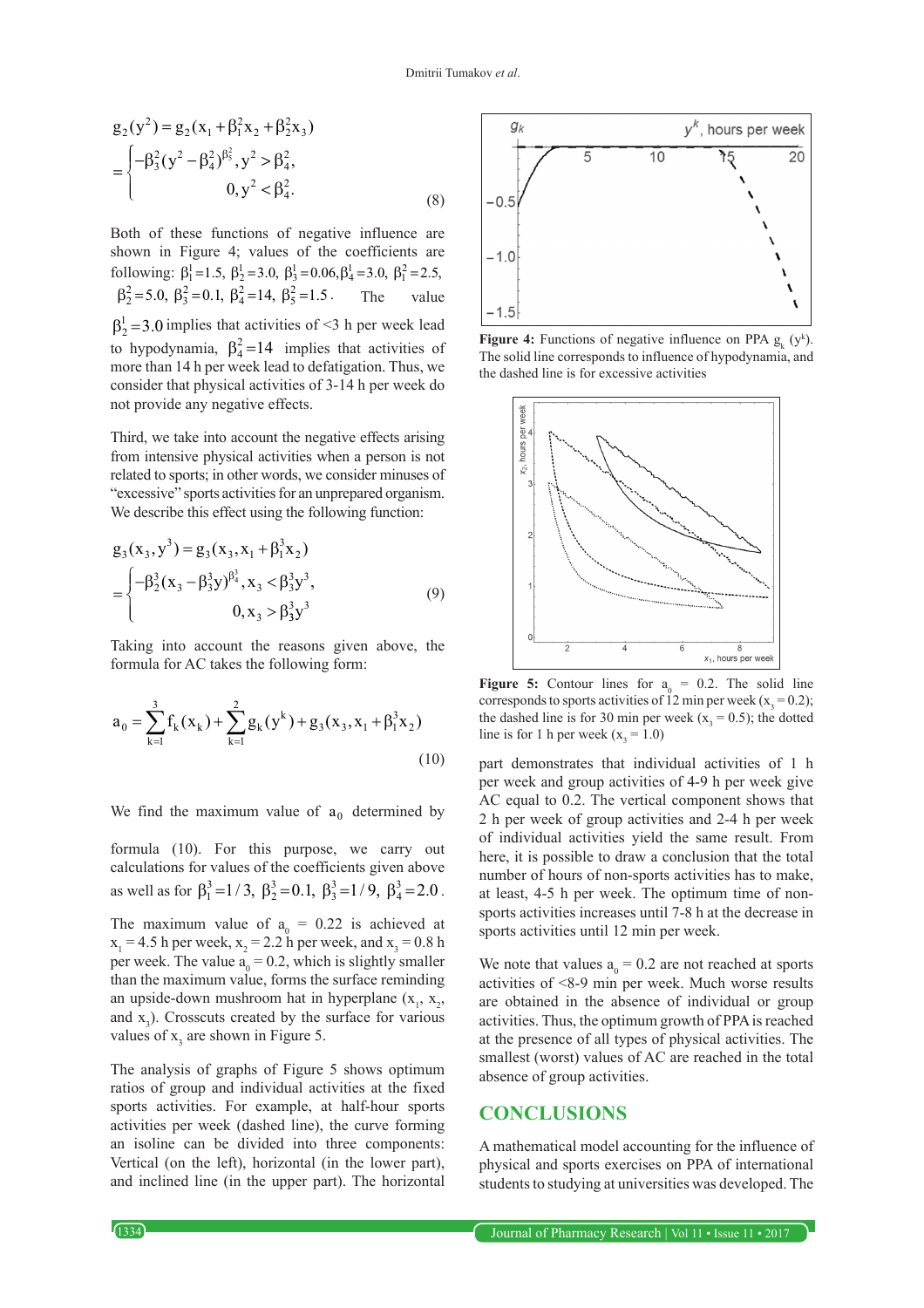$$
g_2(y^2) = g_2(x_1 + \beta_1^2 x_2 + \beta_2^2 x_3)
$$
  
= 
$$
\begin{cases} -\beta_3^2 (y^2 - \beta_4^2)^{\beta_3^2}, y^2 > \beta_4^2, \\ 0, y^2 < \beta_4^2. \end{cases}
$$
 (8)

Both of these functions of negative influence are shown in Figure 4; values of the coefficients are following:  $\beta_1^1 = 1.5$ ,  $\beta_2^1 = 3.0$ ,  $\beta_3^1 = 0.06$ ,  $\beta_4^1 = 3.0$ ,  $\beta_1^2 = 2.5$ ,  $\beta_2^2 = 5.0, \ \beta_3^2 = 0.1, \ \beta_4^2 = 14, \ \beta_5^2 = 1.5$  The value  $\beta_2^1$  = 3.0 implies that activities of <3 h per week lead to hypodynamia,  $\beta_4^2 = 14$  implies that activities of more than 14 h per week lead to defatigation. Thus, we consider that physical activities of 3-14 h per week do not provide any negative effects.

Third, we take into account the negative effects arising from intensive physical activities when a person is not related to sports; in other words, we consider minuses of "excessive" sports activities for an unprepared organism. We describe this effect using the following function:

$$
g_3(x_3, y^3) = g_3(x_3, x_1 + \beta_1^3 x_2)
$$
  
= 
$$
\begin{cases} -\beta_2^3 (x_3 - \beta_3^3 y)^{\beta_4^3}, x_3 < \beta_3^3 y^3, \\ 0, x_3 > \beta_3^3 y^3 \end{cases}
$$
 (9)

Taking into account the reasons given above, the formula for AC takes the following form:

$$
a_0 = \sum_{k=1}^{3} f_k(x_k) + \sum_{k=1}^{2} g_k(y^k) + g_3(x_3, x_1 + \beta_1^3 x_2)
$$
\n(10)

We find the maximum value of  $a_0$  determined by

formula (10). For this purpose, we carry out calculations for values of the coefficients given above as well as for  $\beta_1^3 = 1/3$ ,  $\beta_2^3 = 0.1$ ,  $\beta_3^3 = 1/9$ ,  $\beta_4^3 = 2.0$ . The maximum value of  $a_0 = 0.22$  is achieved at  $x_1 = 4.5$  h per week,  $x_2 = 2.2$  h per week, and  $x_3 = 0.8$  h per week. The value  $a_0 = 0.2$ , which is slightly smaller than the maximum value, forms the surface reminding an upside-down mushroom hat in hyperplane  $(x_1, x_2, ...)$ and  $x_3$ ). Crosscuts created by the surface for various

The analysis of graphs of Figure 5 shows optimum ratios of group and individual activities at the fixed sports activities. For example, at half-hour sports activities per week (dashed line), the curve forming an isoline can be divided into three components: Vertical (on the left), horizontal (in the lower part), and inclined line (in the upper part). The horizontal

values of  $x_3$  are shown in Figure 5.



**Figure 4:** Functions of negative influence on PPA  $g_k(y^k)$ . The solid line corresponds to influence of hypodynamia, and the dashed line is for excessive activities



**Figure 5:** Contour lines for  $a_0 = 0.2$ . The solid line corresponds to sports activities of 12 min per week ( $x_3 = 0.2$ ); the dashed line is for 30 min per week ( $x_3 = 0.5$ ); the dotted line is for 1 h per week ( $x_3 = 1.0$ )

part demonstrates that individual activities of 1 h per week and group activities of 4-9 h per week give AC equal to 0.2. The vertical component shows that 2 h per week of group activities and 2-4 h per week of individual activities yield the same result. From here, it is possible to draw a conclusion that the total number of hours of non-sports activities has to make, at least, 4-5 h per week. The optimum time of nonsports activities increases until 7-8 h at the decrease in sports activities until 12 min per week.

We note that values  $a_0 = 0.2$  are not reached at sports activities of <8-9 min per week. Much worse results are obtained in the absence of individual or group activities. Thus, the optimum growth of PPA is reached at the presence of all types of physical activities. The smallest (worst) values of AC are reached in the total absence of group activities.

# **CONCLUSIONS**

A mathematical model accounting for the influence of physical and sports exercises on PPA of international students to studying at universities was developed. The